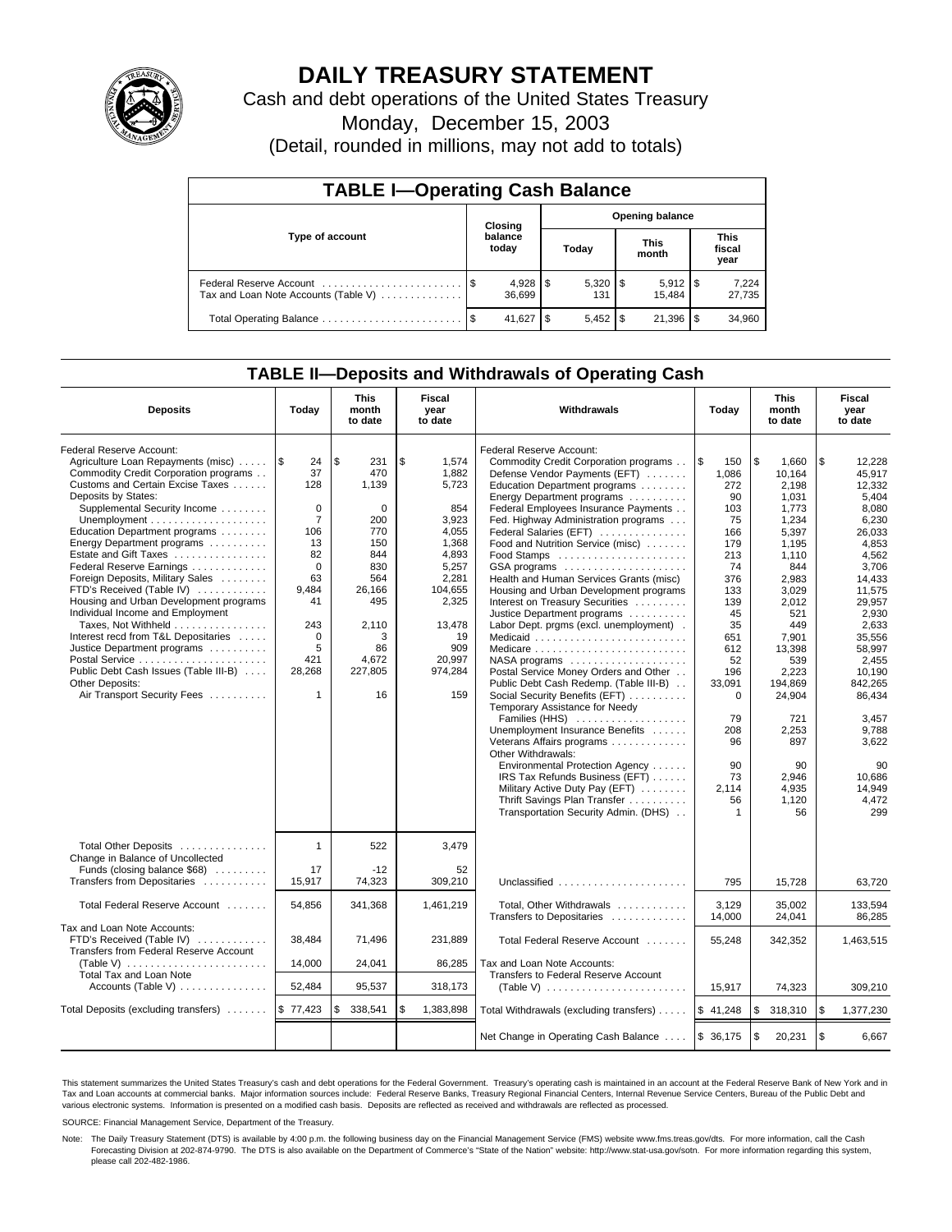

# **DAILY TREASURY STATEMENT**

Cash and debt operations of the United States Treasury

Monday, December 15, 2003

(Detail, rounded in millions, may not add to totals)

| <b>TABLE I-Operating Cash Balance</b>                           |      |                  |                        |           |  |                       |  |                               |  |  |
|-----------------------------------------------------------------|------|------------------|------------------------|-----------|--|-----------------------|--|-------------------------------|--|--|
|                                                                 |      | Closing          | <b>Opening balance</b> |           |  |                       |  |                               |  |  |
| Type of account                                                 |      | balance<br>today |                        | Today     |  | <b>This</b><br>month  |  | <b>This</b><br>fiscal<br>year |  |  |
| Federal Reserve Account<br>Tax and Loan Note Accounts (Table V) |      | 36.699           |                        | 131       |  | $5,912$ \\$<br>15.484 |  | 7,224<br>27,735               |  |  |
|                                                                 | - \$ | 41.627           | - \$                   | $5.452$ S |  | 21,396                |  | 34,960                        |  |  |

### **TABLE II—Deposits and Withdrawals of Operating Cash**

| <b>Deposits</b>                                                                                                                                                                                                                                                                                                                                                                                                                                                                                                                                                                                                                                                                                                                            | Today                                                                                                                                                             | This<br>month<br>to date                                                                                                                       | <b>Fiscal</b><br>year<br>to date                                                                                                                                  | Withdrawals                                                                                                                                                                                                                                                                                                                                                                                                                                                                                                                                                                                                                                                                                                                                                                                                                                                                                                                                                                                                                                                      | <b>This</b><br>Today<br>month<br>to date                                                                                                                                                                                    |                                                                                                                                                                                                                                                              | Fiscal<br>year<br>to date                                                                                                                                                                                                                                                         |
|--------------------------------------------------------------------------------------------------------------------------------------------------------------------------------------------------------------------------------------------------------------------------------------------------------------------------------------------------------------------------------------------------------------------------------------------------------------------------------------------------------------------------------------------------------------------------------------------------------------------------------------------------------------------------------------------------------------------------------------------|-------------------------------------------------------------------------------------------------------------------------------------------------------------------|------------------------------------------------------------------------------------------------------------------------------------------------|-------------------------------------------------------------------------------------------------------------------------------------------------------------------|------------------------------------------------------------------------------------------------------------------------------------------------------------------------------------------------------------------------------------------------------------------------------------------------------------------------------------------------------------------------------------------------------------------------------------------------------------------------------------------------------------------------------------------------------------------------------------------------------------------------------------------------------------------------------------------------------------------------------------------------------------------------------------------------------------------------------------------------------------------------------------------------------------------------------------------------------------------------------------------------------------------------------------------------------------------|-----------------------------------------------------------------------------------------------------------------------------------------------------------------------------------------------------------------------------|--------------------------------------------------------------------------------------------------------------------------------------------------------------------------------------------------------------------------------------------------------------|-----------------------------------------------------------------------------------------------------------------------------------------------------------------------------------------------------------------------------------------------------------------------------------|
| Federal Reserve Account:<br>Agriculture Loan Repayments (misc)<br>Commodity Credit Corporation programs<br>Customs and Certain Excise Taxes<br>Deposits by States:<br>Supplemental Security Income<br>Unemployment $\dots\dots\dots\dots\dots\dots\dots\dots$<br>Education Department programs<br>Energy Department programs<br>Estate and Gift Taxes<br>Federal Reserve Earnings<br>Foreign Deposits, Military Sales<br>FTD's Received (Table IV)<br>Housing and Urban Development programs<br>Individual Income and Employment<br>Taxes, Not Withheld<br>Interest recd from T&L Depositaries<br>Justice Department programs<br>Postal Service<br>Public Debt Cash Issues (Table III-B)<br>Other Deposits:<br>Air Transport Security Fees | 1\$<br>24<br>37<br>128<br>$\Omega$<br>$\overline{7}$<br>106<br>13<br>82<br>$\Omega$<br>63<br>9,484<br>41<br>243<br>$\Omega$<br>5<br>421<br>28,268<br>$\mathbf{1}$ | \$<br>231<br>470<br>1,139<br>$\Omega$<br>200<br>770<br>150<br>844<br>830<br>564<br>26,166<br>495<br>2,110<br>3<br>86<br>4,672<br>227,805<br>16 | \$<br>1,574<br>1,882<br>5,723<br>854<br>3,923<br>4,055<br>1,368<br>4,893<br>5,257<br>2,281<br>104,655<br>2,325<br>13.478<br>19<br>909<br>20,997<br>974,284<br>159 | Federal Reserve Account:<br>Commodity Credit Corporation programs<br>Defense Vendor Payments (EFT)<br>Education Department programs<br>Energy Department programs<br>Federal Employees Insurance Payments<br>Fed. Highway Administration programs<br>Federal Salaries (EFT)<br>Food and Nutrition Service (misc)<br>GSA programs<br>Health and Human Services Grants (misc)<br>Housing and Urban Development programs<br>Interest on Treasury Securities<br>Justice Department programs<br>Labor Dept. prgms (excl. unemployment).<br>Medicaid<br>Medicare<br>$NASA$ programs $\ldots \ldots \ldots \ldots \ldots$<br>Postal Service Money Orders and Other<br>Public Debt Cash Redemp. (Table III-B)<br>Social Security Benefits (EFT)<br>Temporary Assistance for Needy<br>Families (HHS)<br>Unemployment Insurance Benefits<br>Veterans Affairs programs<br>Other Withdrawals:<br>Environmental Protection Agency<br>IRS Tax Refunds Business (EFT)<br>Military Active Duty Pay (EFT)<br>Thrift Savings Plan Transfer<br>Transportation Security Admin. (DHS) | 1\$<br>150<br>1,086<br>272<br>90<br>103<br>75<br>166<br>179<br>213<br>74<br>376<br>133<br>139<br>45<br>35<br>651<br>612<br>52<br>196<br>33,091<br>$\mathbf 0$<br>79<br>208<br>96<br>90<br>73<br>2.114<br>56<br>$\mathbf{1}$ | l \$<br>1.660<br>10,164<br>2,198<br>1.031<br>1,773<br>1.234<br>5.397<br>1,195<br>1,110<br>844<br>2,983<br>3,029<br>2.012<br>521<br>449<br>7,901<br>13,398<br>539<br>2,223<br>194,869<br>24,904<br>721<br>2,253<br>897<br>90<br>2,946<br>4,935<br>1,120<br>56 | \$<br>12.228<br>45,917<br>12,332<br>5.404<br>8,080<br>6,230<br>26.033<br>4,853<br>4,562<br>3,706<br>14,433<br>11,575<br>29.957<br>2,930<br>2.633<br>35,556<br>58,997<br>2.455<br>10,190<br>842,265<br>86,434<br>3.457<br>9,788<br>3,622<br>90<br>10,686<br>14.949<br>4,472<br>299 |
| Total Other Deposits<br>Change in Balance of Uncollected<br>Funds (closing balance \$68)<br>Transfers from Depositaries                                                                                                                                                                                                                                                                                                                                                                                                                                                                                                                                                                                                                    | $\mathbf{1}$<br>17<br>15,917                                                                                                                                      | 522<br>$-12$<br>74,323                                                                                                                         | 3,479<br>52<br>309.210                                                                                                                                            | Unclassified                                                                                                                                                                                                                                                                                                                                                                                                                                                                                                                                                                                                                                                                                                                                                                                                                                                                                                                                                                                                                                                     | 795                                                                                                                                                                                                                         | 15,728                                                                                                                                                                                                                                                       | 63,720                                                                                                                                                                                                                                                                            |
| Total Federal Reserve Account                                                                                                                                                                                                                                                                                                                                                                                                                                                                                                                                                                                                                                                                                                              | 54,856                                                                                                                                                            | 341,368                                                                                                                                        | 1,461,219                                                                                                                                                         | Total, Other Withdrawals                                                                                                                                                                                                                                                                                                                                                                                                                                                                                                                                                                                                                                                                                                                                                                                                                                                                                                                                                                                                                                         | 3,129                                                                                                                                                                                                                       | 35,002                                                                                                                                                                                                                                                       | 133,594                                                                                                                                                                                                                                                                           |
| Tax and Loan Note Accounts:<br>FTD's Received (Table IV)<br>Transfers from Federal Reserve Account<br>(Table V) $\ldots \ldots \ldots \ldots \ldots \ldots \ldots$<br>Total Tax and Loan Note                                                                                                                                                                                                                                                                                                                                                                                                                                                                                                                                              | 38,484<br>14,000                                                                                                                                                  | 71,496<br>24,041                                                                                                                               | 231.889<br>86,285                                                                                                                                                 | Transfers to Depositaries<br>Total Federal Reserve Account<br>Tax and Loan Note Accounts:<br>Transfers to Federal Reserve Account                                                                                                                                                                                                                                                                                                                                                                                                                                                                                                                                                                                                                                                                                                                                                                                                                                                                                                                                | 14,000<br>55,248                                                                                                                                                                                                            | 24,041<br>342,352                                                                                                                                                                                                                                            | 86,285<br>1,463,515                                                                                                                                                                                                                                                               |
| Accounts (Table V)                                                                                                                                                                                                                                                                                                                                                                                                                                                                                                                                                                                                                                                                                                                         | 52,484                                                                                                                                                            | 95,537                                                                                                                                         | 318,173                                                                                                                                                           | (Table V) $\ldots \ldots \ldots \ldots \ldots \ldots \ldots$                                                                                                                                                                                                                                                                                                                                                                                                                                                                                                                                                                                                                                                                                                                                                                                                                                                                                                                                                                                                     | 15,917                                                                                                                                                                                                                      | 74,323                                                                                                                                                                                                                                                       | 309,210                                                                                                                                                                                                                                                                           |
| Total Deposits (excluding transfers)                                                                                                                                                                                                                                                                                                                                                                                                                                                                                                                                                                                                                                                                                                       | \$77,423                                                                                                                                                          | 338,541<br>\$                                                                                                                                  | \$<br>1,383,898                                                                                                                                                   | Total Withdrawals (excluding transfers)                                                                                                                                                                                                                                                                                                                                                                                                                                                                                                                                                                                                                                                                                                                                                                                                                                                                                                                                                                                                                          | \$41,248                                                                                                                                                                                                                    | $\sqrt{3}$<br>318,310                                                                                                                                                                                                                                        | \$<br>1,377,230                                                                                                                                                                                                                                                                   |
|                                                                                                                                                                                                                                                                                                                                                                                                                                                                                                                                                                                                                                                                                                                                            |                                                                                                                                                                   |                                                                                                                                                |                                                                                                                                                                   | Net Change in Operating Cash Balance                                                                                                                                                                                                                                                                                                                                                                                                                                                                                                                                                                                                                                                                                                                                                                                                                                                                                                                                                                                                                             | \$36,175                                                                                                                                                                                                                    | $\sqrt{3}$<br>20,231                                                                                                                                                                                                                                         | \$<br>6,667                                                                                                                                                                                                                                                                       |

This statement summarizes the United States Treasury's cash and debt operations for the Federal Government. Treasury's operating cash is maintained in an account at the Federal Reserve Bank of New York and in Tax and Loan accounts at commercial banks. Major information sources include: Federal Reserve Banks, Treasury Regional Financial Centers, Internal Revenue Service Centers, Bureau of the Public Debt and<br>various electronic s

SOURCE: Financial Management Service, Department of the Treasury.

Note: The Daily Treasury Statement (DTS) is available by 4:00 p.m. the following business day on the Financial Management Service (FMS) website www.fms.treas.gov/dts. For more information, call the Cash Forecasting Division at 202-874-9790. The DTS is also available on the Department of Commerce's "State of the Nation" website: http://www.stat-usa.gov/sotn. For more information regarding this system, please call 202-482-1986.